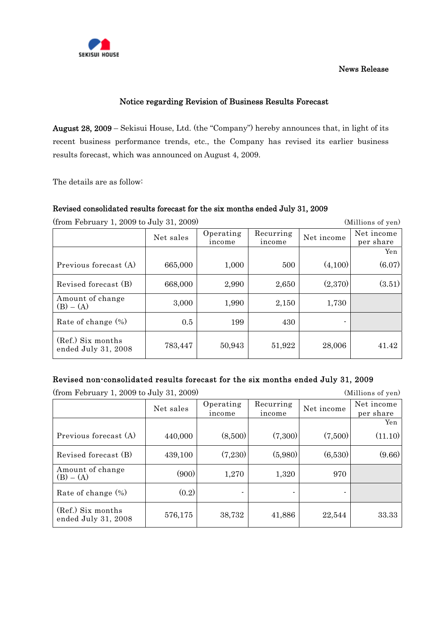

#### News Release

# Notice regarding Revision of Business Results Forecast

August 28, 2009 – Sekisui House, Ltd. (the "Company") hereby announces that, in light of its recent business performance trends, etc., the Company has revised its earlier business results forecast, which was announced on August 4, 2009.

The details are as follow:

## Revised consolidated results forecast for the six months ended July 31, 2009

(from February 1, 2009 to July 31, 2009) (Millions of yen)

Net sales | Operating income Recurring  $\begin{array}{c|c}\n\text{decurring} & \text{Net income} & \text{Net income} \\
\text{income} & \text{Det income} & \text{per share}\n\end{array}$ per share **The Community of the Community of the Community of the Community of the Community of the Community of the Community of the Community of the Community of the Community of the Community of the Community of the Community of** Previous forecast (A)  $\begin{array}{|c|c|c|c|c|c|c|c|c|} \hline 665,000 & 1,000 & 500 & (4,100) \hline \end{array}$  (6.07) Revised forecast (B)  $\begin{array}{|c|c|c|c|c|c|c|c|c|} \hline 668,000 & 2,990 & 2,650 & (2,370) \hline \end{array}$  (3.51) Amount of change (B) – (A) 3,000 1,990 2,150 1,730 Rate of change  $\binom{6}{6}$  | 0.5 | 199 430 430 (Ref.) Six months ended July 31, 2008  $\begin{vmatrix} 783,447 & 50,943 & 51,922 & 28,006 \end{vmatrix}$  41.42

## Revised non-consolidated results forecast for the six months ended July 31, 2009

| $(110)$ repruary 1, 2009 to July 51, 2009) |           |                     |                     |            | (Millions of yen)       |
|--------------------------------------------|-----------|---------------------|---------------------|------------|-------------------------|
|                                            | Net sales | Operating<br>income | Recurring<br>income | Net income | Net income<br>per share |
|                                            |           |                     |                     |            | Yen                     |
| Previous forecast (A)                      | 440,000   | (8,500)             | (7,300)             | (7,500)    | (11.10)                 |
| Revised forecast (B)                       | 439,100   | (7,230)             | (5,980)             | (6,530)    | (9.66)                  |
| Amount of change<br>$(B) - (A)$            | (900)     | 1,270               | 1,320               | 970        |                         |
| Rate of change $(\%)$                      | (0.2)     |                     |                     |            |                         |
| (Ref.) Six months<br>ended July 31, 2008   | 576,175   | 38,732              | 41,886              | 22,544     | 33.33                   |

 $(\text{from Fohnum 1, 2009 to Julu 31, 2009})$  (Millions of yon)